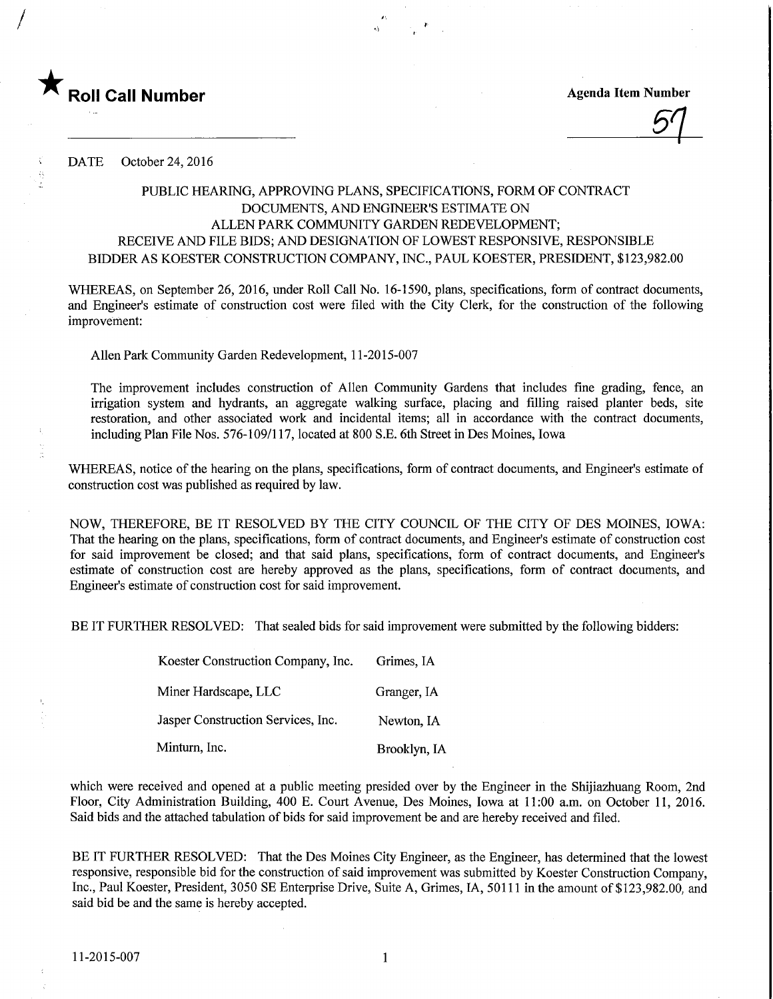

/

 $\mathcal{D}^\centerdot$   $\Box$ 

DATE October 24, 2016

## PUBLIC HEARING, APPROVING PLANS, SPECIFICATIONS, FORM OF CONTRACT DOCUMENTS, AND ENGINEER'S ESTIMATE ON ALLEN PARK COMMUNITY GARDEN REDEVELOPMENT; RECEIVE AND FILE BIDS; AND DESIGNATION OF LOWEST RESPONSIVE, RESPONSIBLE BIDDER AS KOESTER CONSTRUCTION COMPANY, WC., PAUL KOESTER, PRESIDENT, \$123,982.00

WHEREAS, on September 26, 2016, under Roll Call No. 16-1590, plans, specifications, form of contract documents, and Engineer's estimate of construction cost were filed with the City Clerk, for the construction of the following improvement:

Alien Park Community Garden Redevelopment, 11-2015-007

The improvement includes construction of Alien Community Gardens that includes fine grading, fence, an irrigation system and hydrants, an aggregate walking surface, placing and filling raised planter beds, site restoration, and other associated work and incidental items; all in accordance with the contract documents, including Plan File Nos. 576-109/117, located at 800 S.E. 6th Street in Des Moines, Iowa

WHEREAS, notice of the hearing on the plans, specifications, form of contract documents, and Engineer's estimate of construction cost was published as required by law.

NOW, THEREFORE, BE IT RESOLVED BY THE CITY COUNCIL OF THE CITY OF DES MOINES, IOWA: That the hearing on the plans, specifications, form of contract documents, and Engineer's estimate of construction cost for said improvement be closed; and that said plans, specifications, form of contract documents, and Engineer's estimate of construction cost are hereby approved as the plans, specifications, form of contract documents, and Engineer's estimate of construction cost for said improvement.

BE IT FURTHER RESOLVED: That sealed bids for said improvement were submitted by the following bidders:

| Koester Construction Company, Inc. | Grimes, IA   |  |  |  |  |
|------------------------------------|--------------|--|--|--|--|
| Miner Hardscape, LLC               | Granger, IA  |  |  |  |  |
| Jasper Construction Services, Inc. | Newton, IA   |  |  |  |  |
| Minturn, Inc.                      | Brooklyn, IA |  |  |  |  |

which were received and opened at a public meeting presided over by the Engineer in the Shijiazhuang Room, 2nd Floor, City Administration Building, 400 E. Court Avenue, Des Moines, Iowa at 11:00 a.m. on October 11, 2016. Said bids and the attached tabulation of bids for said improvement be and are hereby received and filed.

BE IT FURTHER RESOLVED: That the Des Moines City Engineer, as the Engineer, has determined that the lowest responsive, responsible bid for the construction of said improvement was submitted by Koester Construction Company, Inc., Paul Koester, President, 3050 SE Enterprise Drive, Suite A, Grimes, IA, 50111 in the amount of \$123,982.00, and said bid be and the same is hereby accepted.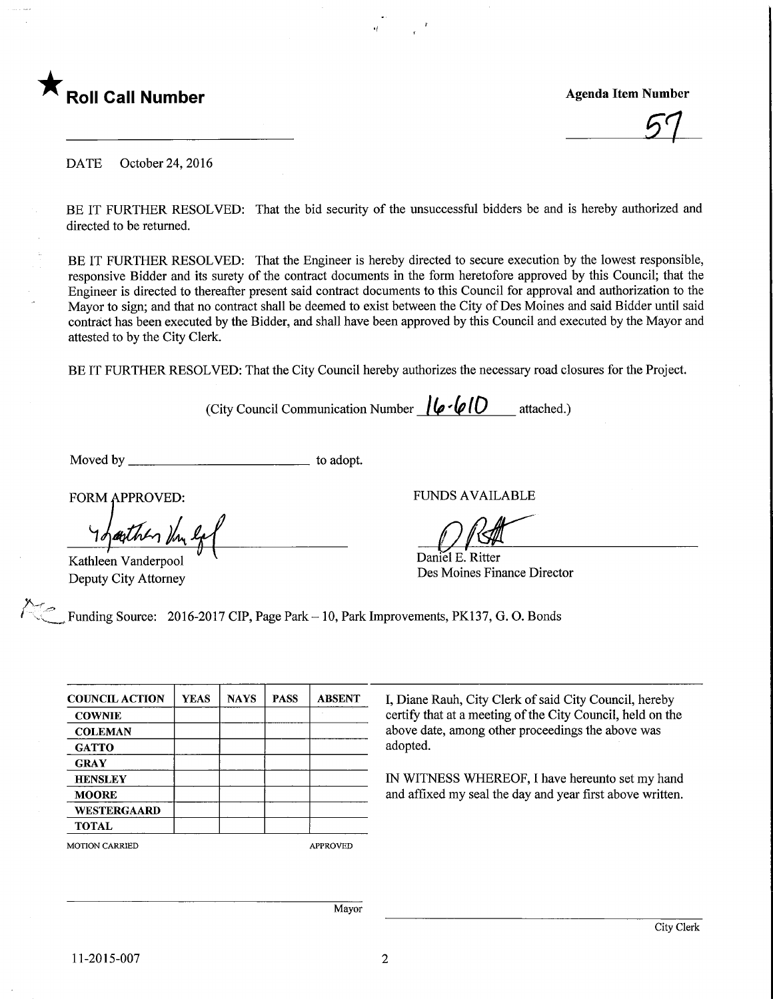

**Agenda Item Number** 

DATE October 24, 2016

BE IT FURTHER RESOLVED: That the bid security of the unsuccessful bidders be and is hereby authorized and directed to be returned.

BE IT FURTHER RESOLVED: That the Engineer is hereby directed to secure execution by the lowest responsible, responsive Bidder and its surety of the contract documents in the form heretofore approved by this Council; that the Engineer is directed to thereafter present said contract documents to this Council for approval and authorization to the Mayor to sign; and that no contract shall be deemed to exist between the City of Des Moines and said Bidder until said contract has been executed by the Bidder, and shall have been approved by this Council and executed by the Mayor and attested to by the City Clerk.

BE IT FURTHER RESOLVED: That the City Council hereby authorizes the necessary road closures for the Project.

(City Council Communication Number  $\log$ ( $\omega$ (D) attached.)

Moved by to adopt.

FORM APPROVED:

arther the la Kathleen Vanderpool

Deputy City Attorney

 $\overline{A}$ 

FUNDS AVAILABLE

Daniel E. Ritter Des Moines Finance Director

Funding Source: 2016-2017 CIP, Page Park - 10, Park Improvements, PK137, G. O. Bonds

| <b>COUNCIL ACTION</b> | <b>YEAS</b>     | <b>NAYS</b> | <b>PASS</b> | <b>ABSENT</b> |
|-----------------------|-----------------|-------------|-------------|---------------|
| <b>COWNIE</b>         |                 |             |             |               |
| <b>COLEMAN</b>        |                 |             |             |               |
| <b>GATTO</b>          |                 |             |             |               |
| <b>GRAY</b>           |                 |             |             |               |
| <b>HENSLEY</b>        |                 |             |             |               |
| <b>MOORE</b>          |                 |             |             |               |
| <b>WESTERGAARD</b>    |                 |             |             |               |
| <b>TOTAL</b>          |                 |             |             |               |
| <b>MOTION CARRIED</b> | <b>APPROVED</b> |             |             |               |

I, Diane Rauh, City Clerk of said City Council, hereby certify that at a meeting of the City Council, held on the above date, among other proceedings the above was adopted.

IN WITNESS WHEREOF, I have hereunto set my hand and affixed my seal the day and year first above written.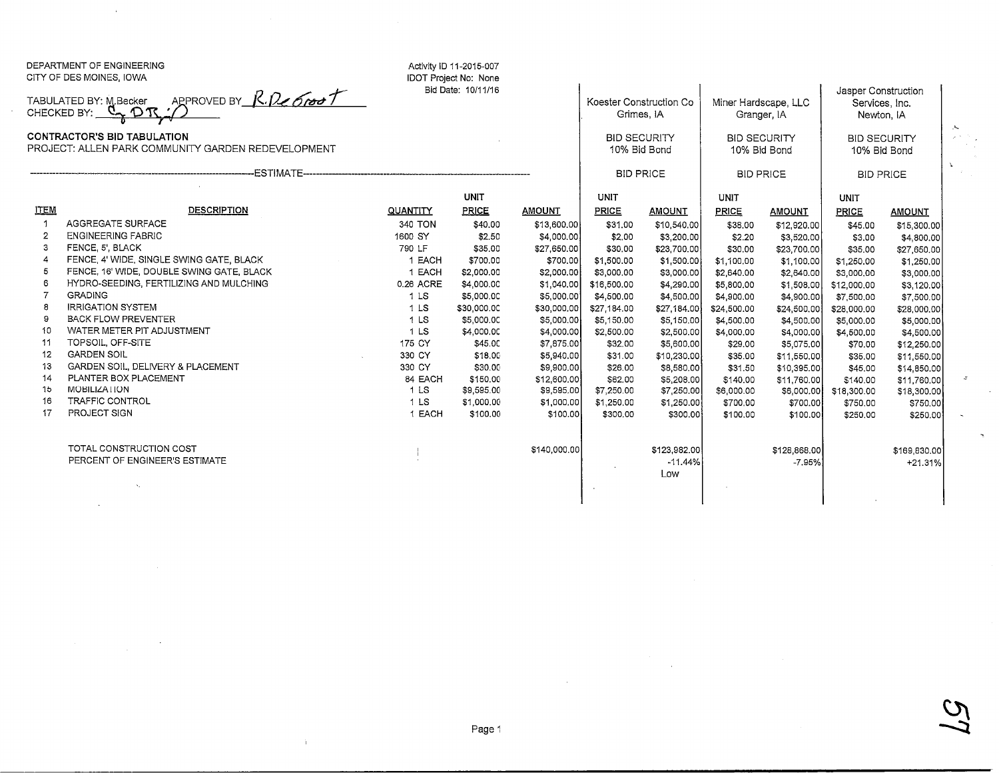|                                                                                                                                                                 | DEPARTMENT OF ENGINEERING<br>CITY OF DES MOINES, IOWA |                    | Activity ID 11-2015-007<br><b>IDOT Project No: None</b> |               |                                                                              |                  |                                                                            |               |                                                                                            |               |
|-----------------------------------------------------------------------------------------------------------------------------------------------------------------|-------------------------------------------------------|--------------------|---------------------------------------------------------|---------------|------------------------------------------------------------------------------|------------------|----------------------------------------------------------------------------|---------------|--------------------------------------------------------------------------------------------|---------------|
| APPROVED BY R. De Groot<br>TABULATED BY: M.Becker<br>CHECKED BY: $Q, Q, Q$<br>CONTRACTOR'S BID TABULATION<br>PROJECT: ALLEN PARK COMMUNITY GARDEN REDEVELOPMENT |                                                       | Bid Date: 10/11/16 |                                                         |               | Koester Construction Co<br>Grimes, IA<br><b>BID SECURITY</b><br>10% Bid Bond |                  | Miner Hardscape, LLC<br>Granger, IA<br><b>BID SECURITY</b><br>10% Bid Bond |               | Jasper Construction<br>Services, Inc.<br>Newton, IA<br><b>BID SECURITY</b><br>10% Bid Bond |               |
|                                                                                                                                                                 |                                                       |                    |                                                         |               |                                                                              |                  |                                                                            |               |                                                                                            |               |
|                                                                                                                                                                 |                                                       |                    | <b>UNIT</b>                                             |               | UNIT                                                                         |                  | <b>UNIT</b>                                                                |               | UNIT                                                                                       |               |
| <b>ITEM</b>                                                                                                                                                     | <b>DESCRIPTION</b>                                    | <b>QUANTITY</b>    | PRICE                                                   | <b>AMOUNT</b> | PRICE                                                                        | <b>AMOUNT</b>    | <b>PRICE</b>                                                               | <b>AMOUNT</b> | <b>PRICE</b>                                                                               | <b>AMOUNT</b> |
| -1                                                                                                                                                              | AGGREGATE SURFACE                                     | 340 TON            | \$40.00                                                 | \$13,600.00   | \$31.00                                                                      | \$10,540.00      | \$38.00                                                                    | \$12,920.00   | \$45.00                                                                                    | \$15,300,00   |
| $\overline{2}$                                                                                                                                                  | <b>ENGINEERING FABRIC</b>                             | 1600 SY            | \$2.50                                                  | \$4,000.00    | \$2.00                                                                       | \$3,200.00       | \$2.20                                                                     | \$3,520.00    | \$3,00                                                                                     | \$4,800.00    |
| 3                                                                                                                                                               | FENCE, 5', BLACK                                      | 790 LF             | \$35,00                                                 | \$27,650.00   | \$30.00                                                                      | \$23,700.00      | \$30,00                                                                    | \$23,700.00   | \$35.00                                                                                    | \$27,650.00   |
| $\overline{4}$                                                                                                                                                  | FENCE, 4' WIDE, SINGLE SWING GATE, BLACK              | 1 EACH             | \$700.00                                                | \$700.00      | \$1,500.00                                                                   | \$1,500.00       | \$1,100,00                                                                 | \$1,100.00    | \$1,250.00                                                                                 | \$1,250.00    |
| 5                                                                                                                                                               | FENCE, 16' WIDE, DOUBLE SWING GATE, BLACK             | 1 EACH             | \$2,000.00                                              | \$2,000.00    | \$3,000.00                                                                   | \$3,000.00       | \$2,640.00                                                                 | \$2,640.00    | \$3,000.00                                                                                 | \$3,000.00    |
| 6                                                                                                                                                               | HYDRO-SEEDING, FERTILIZING AND MULCHING               | 0.26 ACRE          | \$4,000.00                                              | \$1,040.00    | \$16,500.00                                                                  | \$4,290.00       | \$5,800.00                                                                 | \$1,508.00    | \$12,000.00                                                                                | \$3,120.00    |
| $\overline{7}$                                                                                                                                                  | <b>GRADING</b>                                        | 1 <sub>LS</sub>    | \$5,000.00                                              | \$5,000.00    | \$4,500.00                                                                   | \$4,500.00       | \$4,900.00                                                                 | \$4,900.00    | \$7,500.00                                                                                 | \$7,500.00    |
| 8                                                                                                                                                               | <b>IRRIGATION SYSTEM</b>                              | 1 <sub>LS</sub>    | \$30,000.00                                             | \$30,000,00   | \$27,184.00                                                                  | \$27,184.00      | \$24,500.00                                                                | \$24,500.00   | \$28,000.00                                                                                | \$28,000,00   |
| 9                                                                                                                                                               | <b>BACK FLOW PREVENTER</b>                            | 1 <sub>LS</sub>    | \$5,000.00                                              | \$5,000.00    | \$5,150.00                                                                   | \$5,150.00       | \$4,500.00                                                                 | \$4,500.00    | \$5,000.00                                                                                 | \$5,000.00    |
| 10                                                                                                                                                              | WATER METER PIT ADJUSTMENT                            | 1 LS               | \$4,000.00                                              | \$4,000.00    | \$2,500.00                                                                   | \$2,500.00       | \$4,000.00                                                                 | \$4,000.00    | \$4,500.00                                                                                 | \$4,500.00    |
| 11                                                                                                                                                              | TOPSOIL, OFF-SITE                                     | 175 CY             | \$45.00                                                 | \$7,875.00    | \$32.00                                                                      | \$5,600.00       | \$29.00                                                                    | \$5,075.00    | \$70.00                                                                                    | \$12,250.00   |
| 12                                                                                                                                                              | <b>GARDEN SOIL</b>                                    | 330 CY             | \$18.00                                                 | \$5,940.00    | \$31.00                                                                      | \$10,230.00      | \$35.00                                                                    | \$11,550.00   | \$35.00                                                                                    | \$11,550.00   |
| 13                                                                                                                                                              | GARDEN SOIL, DELIVERY & PLACEMENT                     | 330 CY             | \$30.00                                                 | \$9,900.00    | \$26.00                                                                      | \$8,580.00       | \$31.50                                                                    | \$10,395.00   | \$45.00                                                                                    | \$14,850.00   |
| 14                                                                                                                                                              | PLANTER BOX PLACEMENT                                 | 84 EACH            | \$150,00                                                | \$12,600.00   | \$62.00                                                                      | \$5,208.00       | \$140,00                                                                   | \$11,760.00   | \$140.00                                                                                   | \$11,760.00   |
| 15                                                                                                                                                              | MOBILIZATION                                          | 1 <sub>LS</sub>    | \$9,595.00                                              | \$9,595.00    | \$7,250.00                                                                   | \$7,250.00       | \$6,000.00                                                                 | \$6,000.00    | \$18,300.00                                                                                | \$18,300.00   |
| 16                                                                                                                                                              | <b>TRAFFIC CONTROL</b>                                | 1 <sub>LS</sub>    | \$1,000.00                                              | \$1,000.00    | \$1,250.00                                                                   | \$1,250.00       | \$700.00                                                                   | \$700.00      | \$750.00                                                                                   | \$750.00      |
| 17                                                                                                                                                              | PROJECT SIGN                                          | 1 EACH             | \$100.00                                                | \$100.00      | \$300.00                                                                     | \$300.00         | \$100.00                                                                   | \$100.00      | \$250.00                                                                                   | \$250.00      |
|                                                                                                                                                                 | TOTAL CONSTRUCTION COST                               |                    |                                                         | \$140,000.00  |                                                                              | \$123,982.00     |                                                                            | \$128,868.00  |                                                                                            | \$169,830,00  |
|                                                                                                                                                                 | PERCENT OF ENGINEER'S ESTIMATE                        |                    |                                                         |               |                                                                              | $-11.44%$<br>Low |                                                                            | $-7.95%$      |                                                                                            | $+21.31%$     |
|                                                                                                                                                                 |                                                       |                    |                                                         |               |                                                                              |                  |                                                                            |               |                                                                                            |               |

 $\Lambda$ 

Page 1

 $\mathbf{L}$ 

 $\omega$ 

z